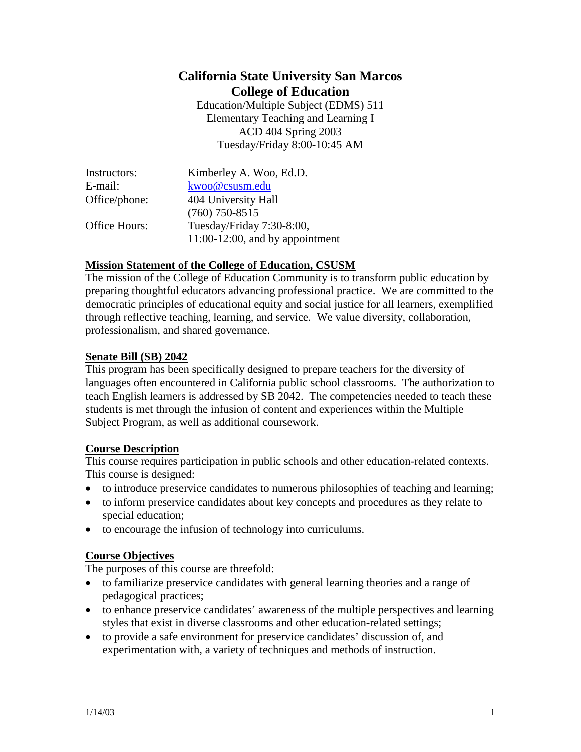# **California State University San Marcos College of Education**

Education/Multiple Subject (EDMS) 511 Elementary Teaching and Learning I ACD 404 Spring 2003 Tuesday/Friday 8:00-10:45 AM

| Instructors:  | Kimberley A. Woo, Ed.D.            |
|---------------|------------------------------------|
| E-mail:       | kwoo@csusm.edu                     |
| Office/phone: | 404 University Hall                |
|               | $(760)$ 750-8515                   |
| Office Hours: | Tuesday/Friday 7:30-8:00,          |
|               | $11:00-12:00$ , and by appointment |

### **Mission Statement of the College of Education, CSUSM**

The mission of the College of Education Community is to transform public education by preparing thoughtful educators advancing professional practice. We are committed to the democratic principles of educational equity and social justice for all learners, exemplified through reflective teaching, learning, and service. We value diversity, collaboration, professionalism, and shared governance.

### **Senate Bill (SB) 2042**

This program has been specifically designed to prepare teachers for the diversity of languages often encountered in California public school classrooms. The authorization to teach English learners is addressed by SB 2042. The competencies needed to teach these students is met through the infusion of content and experiences within the Multiple Subject Program, as well as additional coursework.

## **Course Description**

This course requires participation in public schools and other education-related contexts. This course is designed:

- to introduce preservice candidates to numerous philosophies of teaching and learning;
- to inform preservice candidates about key concepts and procedures as they relate to special education;
- to encourage the infusion of technology into curriculums.

#### **Course Objectives**

The purposes of this course are threefold:

- to familiarize preservice candidates with general learning theories and a range of pedagogical practices;
- to enhance preservice candidates' awareness of the multiple perspectives and learning styles that exist in diverse classrooms and other education-related settings;
- to provide a safe environment for preservice candidates' discussion of, and experimentation with, a variety of techniques and methods of instruction.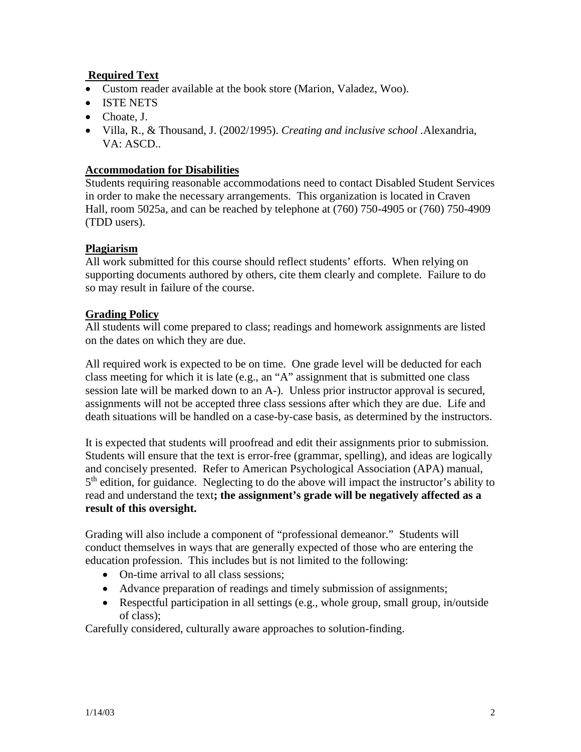# **Required Text**

- Custom reader available at the book store (Marion, Valadez, Woo).
- ISTE NETS
- Choate, J.
- Villa, R., & Thousand, J. (2002/1995). *Creating and inclusive school .*Alexandria, VA: ASCD..

#### **Accommodation for Disabilities**

Students requiring reasonable accommodations need to contact Disabled Student Services in order to make the necessary arrangements. This organization is located in Craven Hall, room 5025a, and can be reached by telephone at (760) 750-4905 or (760) 750-4909 (TDD users).

### **Plagiarism**

All work submitted for this course should reflect students' efforts. When relying on supporting documents authored by others, cite them clearly and complete. Failure to do so may result in failure of the course.

### **Grading Policy**

All students will come prepared to class; readings and homework assignments are listed on the dates on which they are due.

All required work is expected to be on time. One grade level will be deducted for each class meeting for which it is late (e.g., an "A" assignment that is submitted one class session late will be marked down to an A-). Unless prior instructor approval is secured, assignments will not be accepted three class sessions after which they are due. Life and death situations will be handled on a case-by-case basis, as determined by the instructors.

It is expected that students will proofread and edit their assignments prior to submission. Students will ensure that the text is error-free (grammar, spelling), and ideas are logically and concisely presented. Refer to American Psychological Association (APA) manual, 5<sup>th</sup> edition, for guidance. Neglecting to do the above will impact the instructor's ability to read and understand the text**; the assignment's grade will be negatively affected as a result of this oversight.**

Grading will also include a component of "professional demeanor." Students will conduct themselves in ways that are generally expected of those who are entering the education profession. This includes but is not limited to the following:

- On-time arrival to all class sessions;
- Advance preparation of readings and timely submission of assignments;
- Respectful participation in all settings (e.g., whole group, small group, in/outside of class);

Carefully considered, culturally aware approaches to solution-finding.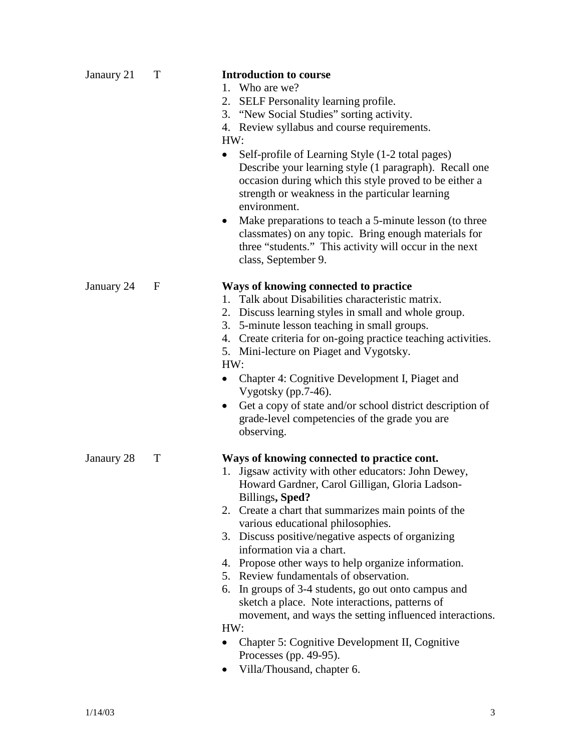| Janaury 21 | T           | <b>Introduction to course</b><br>1. Who are we?<br>2. SELF Personality learning profile.<br>3. "New Social Studies" sorting activity.<br>4. Review syllabus and course requirements.<br>HW:<br>Self-profile of Learning Style (1-2 total pages)<br>٠<br>Describe your learning style (1 paragraph). Recall one<br>occasion during which this style proved to be either a<br>strength or weakness in the particular learning<br>environment.<br>Make preparations to teach a 5-minute lesson (to three<br>$\bullet$<br>classmates) on any topic. Bring enough materials for<br>three "students." This activity will occur in the next<br>class, September 9.                                                                                    |
|------------|-------------|------------------------------------------------------------------------------------------------------------------------------------------------------------------------------------------------------------------------------------------------------------------------------------------------------------------------------------------------------------------------------------------------------------------------------------------------------------------------------------------------------------------------------------------------------------------------------------------------------------------------------------------------------------------------------------------------------------------------------------------------|
| January 24 | $\mathbf F$ | Ways of knowing connected to practice<br>1. Talk about Disabilities characteristic matrix.<br>2. Discuss learning styles in small and whole group.<br>3. 5-minute lesson teaching in small groups.<br>4. Create criteria for on-going practice teaching activities.<br>5. Mini-lecture on Piaget and Vygotsky.<br>HW:<br>Chapter 4: Cognitive Development I, Piaget and<br>Vygotsky (pp.7-46).<br>Get a copy of state and/or school district description of<br>٠<br>grade-level competencies of the grade you are<br>observing.                                                                                                                                                                                                                |
| Janaury 28 | T           | Ways of knowing connected to practice cont.<br>1. Jigsaw activity with other educators: John Dewey,<br>Howard Gardner, Carol Gilligan, Gloria Ladson-<br>Billings, Sped?<br>2. Create a chart that summarizes main points of the<br>various educational philosophies.<br>3. Discuss positive/negative aspects of organizing<br>information via a chart.<br>4. Propose other ways to help organize information.<br>5. Review fundamentals of observation.<br>6. In groups of 3-4 students, go out onto campus and<br>sketch a place. Note interactions, patterns of<br>movement, and ways the setting influenced interactions.<br>HW:<br>Chapter 5: Cognitive Development II, Cognitive<br>Processes (pp. 49-95).<br>Villa/Thousand, chapter 6. |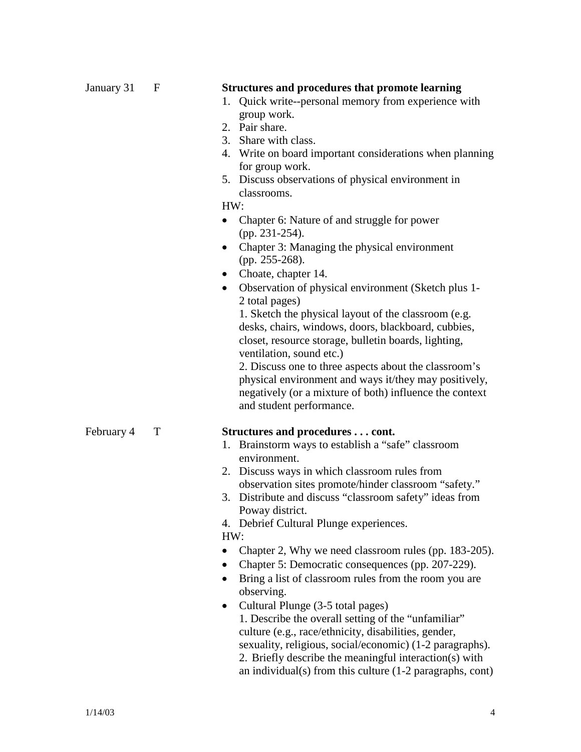| January 31 | F | <b>Structures and procedures that promote learning</b><br>Quick write--personal memory from experience with<br>1.<br>group work.<br>2. Pair share.<br>3. Share with class.<br>4. Write on board important considerations when planning<br>for group work.<br>5. Discuss observations of physical environment in<br>classrooms.<br>HW:<br>Chapter 6: Nature of and struggle for power<br>$\bullet$<br>(pp. 231-254).<br>Chapter 3: Managing the physical environment<br>$\bullet$<br>(pp. 255-268).<br>Choate, chapter 14.<br>$\bullet$<br>Observation of physical environment (Sketch plus 1-<br>$\bullet$<br>2 total pages)<br>1. Sketch the physical layout of the classroom (e.g.<br>desks, chairs, windows, doors, blackboard, cubbies,<br>closet, resource storage, bulletin boards, lighting,<br>ventilation, sound etc.)<br>2. Discuss one to three aspects about the classroom's<br>physical environment and ways it/they may positively,<br>negatively (or a mixture of both) influence the context<br>and student performance. |
|------------|---|------------------------------------------------------------------------------------------------------------------------------------------------------------------------------------------------------------------------------------------------------------------------------------------------------------------------------------------------------------------------------------------------------------------------------------------------------------------------------------------------------------------------------------------------------------------------------------------------------------------------------------------------------------------------------------------------------------------------------------------------------------------------------------------------------------------------------------------------------------------------------------------------------------------------------------------------------------------------------------------------------------------------------------------|
| February 4 | T | Structures and procedures cont.<br>1. Brainstorm ways to establish a "safe" classroom<br>environment.<br>2. Discuss ways in which classroom rules from<br>observation sites promote/hinder classroom "safety."<br>Distribute and discuss "classroom safety" ideas from<br>3.<br>Poway district.<br>4. Debrief Cultural Plunge experiences.<br>HW:<br>Chapter 2, Why we need classroom rules (pp. 183-205).<br>Chapter 5: Democratic consequences (pp. 207-229).<br>Bring a list of classroom rules from the room you are<br>observing.                                                                                                                                                                                                                                                                                                                                                                                                                                                                                                   |

• Cultural Plunge (3-5 total pages) 1. Describe the overall setting of the "unfamiliar" culture (e.g., race/ethnicity, disabilities, gender, sexuality, religious, social/economic) (1-2 paragraphs). 2. Briefly describe the meaningful interaction(s) with an individual(s) from this culture (1-2 paragraphs, cont)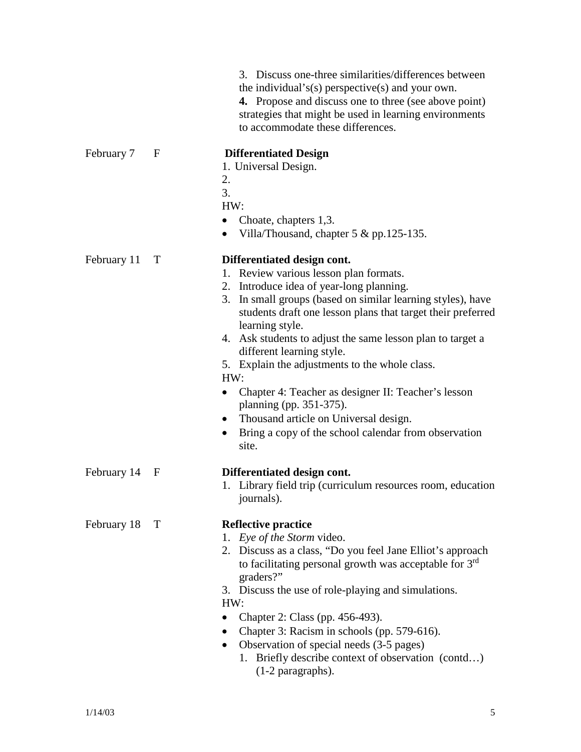|             |   | 3. Discuss one-three similarities/differences between<br>the individual's(s) perspective(s) and your own.<br><b>4.</b> Propose and discuss one to three (see above point)<br>strategies that might be used in learning environments<br>to accommodate these differences.                                                                                                                                                                                                                                                                                                                                                        |
|-------------|---|---------------------------------------------------------------------------------------------------------------------------------------------------------------------------------------------------------------------------------------------------------------------------------------------------------------------------------------------------------------------------------------------------------------------------------------------------------------------------------------------------------------------------------------------------------------------------------------------------------------------------------|
| February 7  | F | <b>Differentiated Design</b><br>1. Universal Design.<br>2.<br>3.<br>HW:<br>Choate, chapters 1,3.<br>$\bullet$<br>Villa/Thousand, chapter 5 & pp.125-135.                                                                                                                                                                                                                                                                                                                                                                                                                                                                        |
| February 11 | T | Differentiated design cont.<br>1. Review various lesson plan formats.<br>2. Introduce idea of year-long planning.<br>3. In small groups (based on similar learning styles), have<br>students draft one lesson plans that target their preferred<br>learning style.<br>4. Ask students to adjust the same lesson plan to target a<br>different learning style.<br>5. Explain the adjustments to the whole class.<br>HW:<br>Chapter 4: Teacher as designer II: Teacher's lesson<br>planning (pp. 351-375).<br>Thousand article on Universal design.<br>$\bullet$<br>Bring a copy of the school calendar from observation<br>site. |
| February 14 | F | Differentiated design cont.<br>1. Library field trip (curriculum resources room, education<br>journals).                                                                                                                                                                                                                                                                                                                                                                                                                                                                                                                        |
| February 18 | T | <b>Reflective practice</b><br>1. Eye of the Storm video.<br>2. Discuss as a class, "Do you feel Jane Elliot's approach<br>to facilitating personal growth was acceptable for 3 <sup>rd</sup><br>graders?"<br>3. Discuss the use of role-playing and simulations.<br>HW:<br>Chapter 2: Class (pp. 456-493).<br>Chapter 3: Racism in schools (pp. 579-616).<br>Observation of special needs (3-5 pages)<br>$\bullet$<br>1. Briefly describe context of observation (contd)<br>$(1-2$ paragraphs).                                                                                                                                 |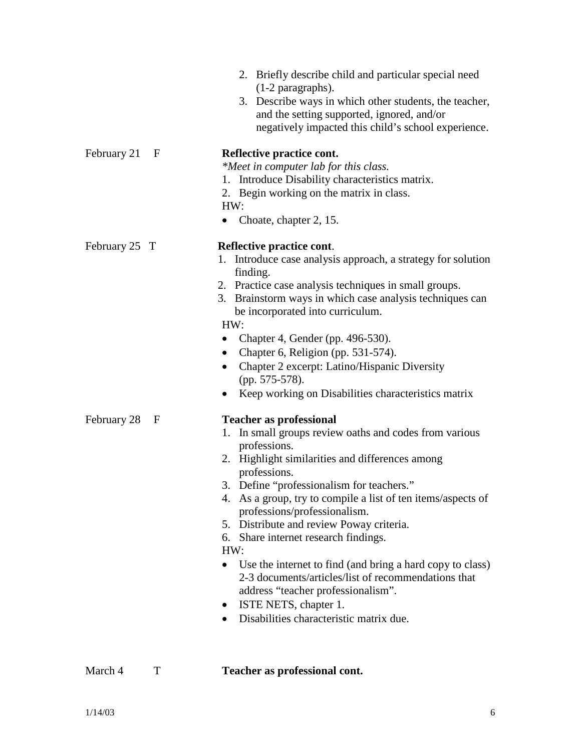|               |   | 2. Briefly describe child and particular special need<br>$(1-2$ paragraphs).<br>Describe ways in which other students, the teacher,<br>3.<br>and the setting supported, ignored, and/or<br>negatively impacted this child's school experience.                                                                                                                                                                                                                                                                                                                                                                                                      |
|---------------|---|-----------------------------------------------------------------------------------------------------------------------------------------------------------------------------------------------------------------------------------------------------------------------------------------------------------------------------------------------------------------------------------------------------------------------------------------------------------------------------------------------------------------------------------------------------------------------------------------------------------------------------------------------------|
| February 21   | F | Reflective practice cont.<br>*Meet in computer lab for this class.<br>1. Introduce Disability characteristics matrix.<br>2. Begin working on the matrix in class.<br>HW:<br>Choate, chapter 2, 15.                                                                                                                                                                                                                                                                                                                                                                                                                                                  |
| February 25 T |   | Reflective practice cont.<br>Introduce case analysis approach, a strategy for solution<br>1.<br>finding.<br>2. Practice case analysis techniques in small groups.<br>3. Brainstorm ways in which case analysis techniques can<br>be incorporated into curriculum.<br>HW:<br>Chapter 4, Gender (pp. 496-530).<br>Chapter 6, Religion (pp. 531-574).<br>$\bullet$<br>Chapter 2 excerpt: Latino/Hispanic Diversity<br>(pp. 575-578).<br>Keep working on Disabilities characteristics matrix                                                                                                                                                            |
| February 28   | F | <b>Teacher as professional</b><br>1. In small groups review oaths and codes from various<br>professions.<br>2. Highlight similarities and differences among<br>professions.<br>3. Define "professionalism for teachers."<br>4. As a group, try to compile a list of ten items/aspects of<br>professions/professionalism.<br>5. Distribute and review Poway criteria.<br>6. Share internet research findings.<br>HW:<br>• Use the internet to find (and bring a hard copy to class)<br>2-3 documents/articles/list of recommendations that<br>address "teacher professionalism".<br>ISTE NETS, chapter 1.<br>Disabilities characteristic matrix due. |

March 4 T **Teacher as professional cont.**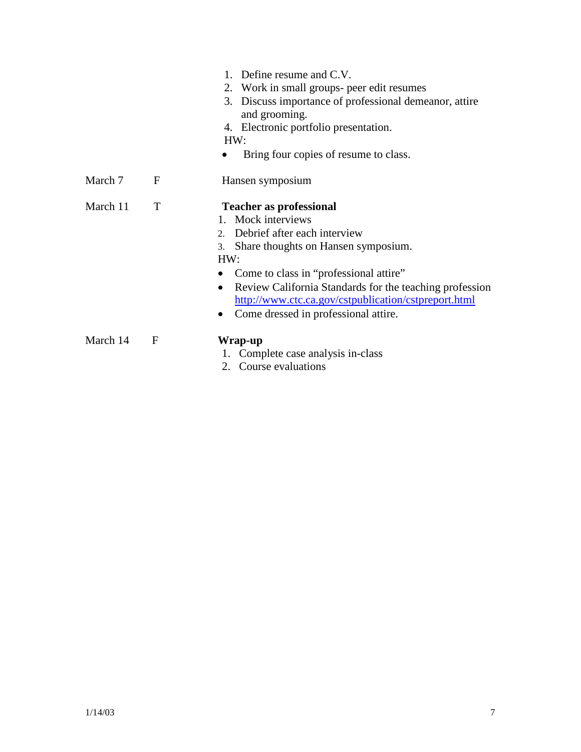|          |   | 1. Define resume and C.V.<br>2. Work in small groups- peer edit resumes<br>3. Discuss importance of professional demeanor, attire<br>and grooming.<br>4. Electronic portfolio presentation.<br>HW:<br>Bring four copies of resume to class.                                                                                                                               |
|----------|---|---------------------------------------------------------------------------------------------------------------------------------------------------------------------------------------------------------------------------------------------------------------------------------------------------------------------------------------------------------------------------|
| March 7  | F | Hansen symposium                                                                                                                                                                                                                                                                                                                                                          |
| March 11 | T | <b>Teacher as professional</b><br>1. Mock interviews<br>Debrief after each interview<br>$2^{\circ}$<br>Share thoughts on Hansen symposium.<br>3.<br>HW:<br>Come to class in "professional attire"<br>Review California Standards for the teaching profession<br>http://www.ctc.ca.gov/cstpublication/cstpreport.html<br>Come dressed in professional attire.<br>$\bullet$ |
| March 14 | F | Wrap-up<br>1. Complete case analysis in-class<br>2. Course evaluations                                                                                                                                                                                                                                                                                                    |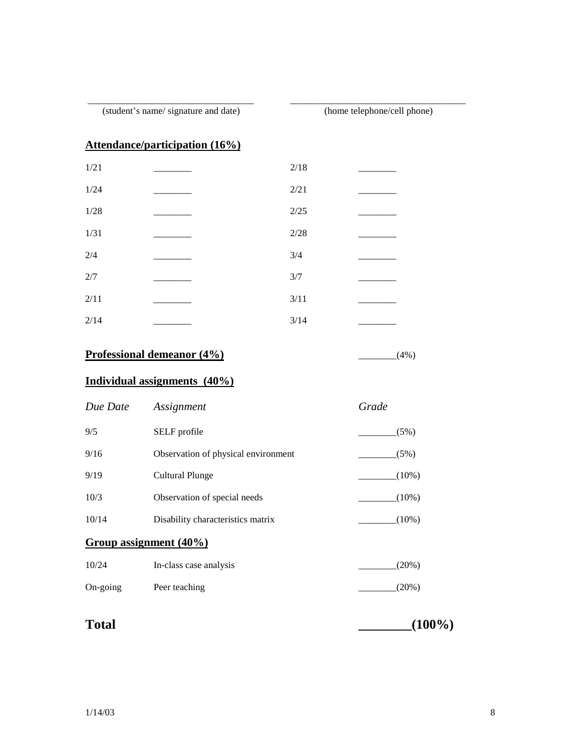(student's name/ signature and date) (home telephone/cell phone)

\_\_\_\_\_\_\_\_\_\_\_\_\_\_\_\_\_\_\_\_\_\_\_\_\_\_\_\_\_\_\_\_\_\_\_ \_\_\_\_\_\_\_\_\_\_\_\_\_\_\_\_\_\_\_\_\_\_\_\_\_\_\_\_\_\_\_\_\_\_\_\_\_

# **Attendance/participation (16%)**

| 1/21   | 2/18  |  |
|--------|-------|--|
| 1/24   | 2/21  |  |
| $1/28$ | 2/25  |  |
| 1/31   | 2/28  |  |
| 2/4    | $3/4$ |  |
| $2/7$  | 3/7   |  |
| 2/11   | 3/11  |  |
| 2/14   | 3/14  |  |

# **Professional demeanor (4%)** 2014 (4%)

### **Individual assignments (40%)**

| Due Date | Assignment                          | Grade    |
|----------|-------------------------------------|----------|
| 9/5      | SELF profile                        | (5%)     |
| 9/16     | Observation of physical environment | (5%)     |
| 9/19     | <b>Cultural Plunge</b>              | $(10\%)$ |
| 10/3     | Observation of special needs        | $(10\%)$ |
| 10/14    | Disability characteristics matrix   | $(10\%)$ |
|          | Group assignment (40%)              |          |
| 10/24    | In-class case analysis              | (20%)    |
| On-going | Peer teaching                       | (20%)    |
|          |                                     |          |

**Total \_\_\_\_\_\_\_\_(100%)**